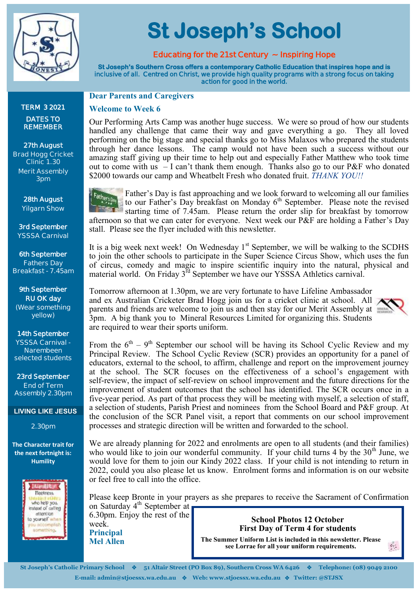

**TERM 3 2021 DATES TO REMEMBER** 

**27th August Brad Hogg Cricket Clinic 1.30 Merit Assembly 3pm**

> **28th August Yilgarn Show**

**3rd September YSSSA Carnival**

**6th September Fathers Day Breakfast - 7.45am**

**9th September RU OK day (Wear something yellow)**

**14th September YSSSA Carnival - Narembeen selected students** 

**23rd September End of Term Assembly 2.30pm**

**LIVING LIKE JESUS**

**2.30pm**

**The Character trait for the next fortnight is: Humility**



**St Joseph's School** 

## **Educating for the 21st Century ~ Inspiring Hope**

**St Joseph's Southern Cross offers a contemporary Catholic Education that inspires hope and is inclusive of all. Centred on Christ, we provide high quality programs with a strong focus on taking action for good in the world.** 

**Dear Parents and Caregivers**

#### **Welcome to Week 6**

Our Performing Arts Camp was another huge success. We were so proud of how our students handled any challenge that came their way and gave everything a go. They all loved performing on the big stage and special thanks go to Miss Malaxos who prepared the students through her dance lessons. The camp would not have been such a success without our amazing staff giving up their time to help out and especially Father Matthew who took time out to come with us  $-$  I can't thank them enough. Thanks also go to our P&F who donated \$2000 towards our camp and Wheatbelt Fresh who donated fruit. *THANK YOU!!*

Father's Day Father's Day is fast approaching and we look forward to welcoming all our families to our Father's Day breakfast on Monday  $6<sup>th</sup>$  September. Please note the revised starting time of 7.45am. Please return the order slip for breakfast by tomorrow afternoon so that we can cater for everyone. Next week our P&F are holding a Father's Day stall. Please see the flyer included with this newsletter.

It is a big week next week! On Wednesday  $1<sup>st</sup>$  September, we will be walking to the SCDHS to join the other schools to participate in the Super Science Circus Show, which uses the fun of circus, comedy and magic to inspire scientific inquiry into the natural, physical and material world. On Friday 3<sup>rd</sup> September we have our YSSSA Athletics carnival.

Tomorrow afternoon at 1.30pm, we are very fortunate to have Lifeline Ambassador and ex Australian Cricketer Brad Hogg join us for a cricket clinic at school. All parents and friends are welcome to join us and then stay for our Merit Assembly at 3pm. A big thank you to Mineral Resources Limited for organizing this. Students are required to wear their sports uniform.



 $\mathcal{G}_{\mathcal{G}}$ 

From the  $6^{th}$  – 9<sup>th</sup> September our school will be having its School Cyclic Review and my Principal Review. The School Cyclic Review (SCR) provides an opportunity for a panel of educators, external to the school, to affirm, challenge and report on the improvement journey at the school. The SCR focuses on the effectiveness of a school's engagement with self-review, the impact of self-review on school improvement and the future directions for the improvement of student outcomes that the school has identified. The SCR occurs once in a five-year period. As part of that process they will be meeting with myself, a selection of staff, a selection of students, Parish Priest and nominees from the School Board and P&F group. At the conclusion of the SCR Panel visit, a report that comments on our school improvement processes and strategic direction will be written and forwarded to the school.

We are already planning for 2022 and enrolments are open to all students (and their families) who would like to join our wonderful community. If your child turns 4 by the  $30<sup>th</sup>$  June, we would love for them to join our Kindy 2022 class. If your child is not intending to return in 2022, could you also please let us know. Enrolment forms and information is on our website or feel free to call into the office.

Please keep Bronte in your prayers as she prepares to receive the Sacrament of Confirmation on Saturday 4<sup>th</sup> September at

6.30pm. Enjoy the rest of the week. **Principal Mel Allen**

**School Photos 12 October First Day of Term 4 for students**

**The Summer Uniform List is included in this newsletter. Please see Lorrae for all your uniform requirements.**

**St Joseph's Catholic Primary School** ❖ **51 Altair Street (PO Box 89), Southern Cross WA 6426** ❖ **Telephone: (08) 9049 2100 E-mail: admin@stjoessx.wa.edu.au** ❖ **Web: www.stjoessx.wa.edu.au** ❖ **Twitter: @STJSX**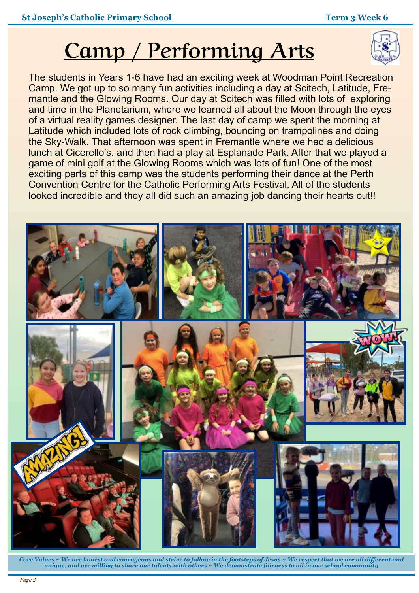# **Camp / Performing Arts**

The students in Years 1-6 have had an exciting week at Woodman Point Recreation Camp. We got up to so many fun activities including a day at Scitech, Latitude, Fremantle and the Glowing Rooms. Our day at Scitech was filled with lots of exploring and time in the Planetarium, where we learned all about the Moon through the eyes of a virtual reality games designer. The last day of camp we spent the morning at Latitude which included lots of rock climbing, bouncing on trampolines and doing the Sky-Walk. That afternoon was spent in Fremantle where we had a delicious lunch at Cicerello's, and then had a play at Esplanade Park. After that we played a game of mini golf at the Glowing Rooms which was lots of fun! One of the most exciting parts of this camp was the students performing their dance at the Perth Convention Centre for the Catholic Performing Arts Festival. All of the students looked incredible and they all did such an amazing job dancing their hearts out!!



*Core Values ~ We are honest and courageous and strive to follow in the footsteps of Jesus ~ We respect that we are all different and unique, and are willing to share our talents with others ~ We demonstrate fairness to all in our school community*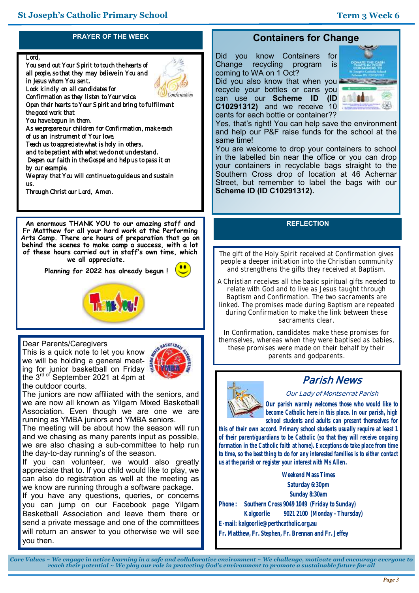### **PRAYER OF THE WEEK**

#### Lord,

You send out Your Spirit to touch the hearts of all people, so that they may believe in You and in Jesus whom You sent. Look kindly on all candidates for Confirmation as they listen to Your voice. Open their hearts to Your Spirit and bring to fulfilment the good work that You have begun in them. As we prepare our children for Confirmation, make each of us an instrument of Your love. Teach us to appreciate what is holy in others, and to be patient with what we do not understand. Deepen our faith in the Gospel and help us to pass it on by our example. We pray that You will continue to guide us and sustain us. Through Christ our Lord, Amen.

**An enormous THANK YOU to our amazing staff and Fr Matthew for all your hard work at the Performing Arts Camp. There are hours of preparation that go on behind the scenes to make camp a success, with a lot of these hours carried out in staff's own time, which we all appreciate.** 

 **Planning for 2022 has already begun !**



Dear Parents/Caregivers

This is a quick note to let you know we will be holding a general meeting for junior basketball on Friday the  $3<sup>rd</sup>$  September 2021 at 4pm at the outdoor courts.



The juniors are now affiliated with the seniors, and we are now all known as Yilgarn Mixed Basketball Association. Even though we are one we are running as YMBA juniors and YMBA seniors.

The meeting will be about how the season will run and we chasing as many parents input as possible, we are also chasing a sub-committee to help run the day-to-day running's of the season.

If you can volunteer, we would also greatly appreciate that to. If you child would like to play, we can also do registration as well at the meeting as we know are running through a software package.

If you have any questions, queries, or concerns you can jump on our Facebook page Yilgarn Basketball Association and leave them there or send a private message and one of the committees will return an answer to you otherwise we will see you then.

# **Containers for Change**

Did you know Containers for<br>Change recycling program is Change recycling program is coming to WA on 1 Oct?

Did you also know that when you. recycle your bottles or cans you can use our **Scheme ID (ID C10291312)** and we receive 10 cents for each bottle or container??



Yes, that's right! You can help save the environment and help our P&F raise funds for the school at the same time!

You are welcome to drop your containers to school in the labelled bin near the office or you can drop your containers in recyclable bags straight to the Southern Cross drop of location at 46 Achernar Street, but remember to label the bags with our **Scheme ID (ID C10291312).**

#### **REFLECTION**

**The gift of the Holy Spirit received at Confirmation gives people a deeper initiation into the Christian community and strengthens the gifts they received at Baptism.** 

**A Christian receives all the basic spiritual gifts needed to relate with God and to live as Jesus taught through Baptism and Confirmation. The two sacraments are linked. The promises made during Baptism are repeated during Confirmation to make the link between these sacraments clear.** 

**In Confirmation, candidates make these promises for themselves, whereas when they were baptised as babies, these promises were made on their behalf by their parents and godparents.**



# **Parish News**

**Our Lady of Montserrat Parish**

*Our parish warmly welcomes those who would like to become Catholic here in this place. In our parish, high school students and adults can present themselves for* 

*this of their own accord. Primary school students usually require at least 1 of their parent/guardians to be Catholic (so that they will receive ongoing formation in the Catholic faith at home). Exceptions do take place from time to time, so the best thing to do for any interested families is to either contact us at the parish or register your interest with Ms Allen.*

**Weekend Mass Times Saturday 6:30pm Sunday 8:30am Phone : Southern Cross 9049 1049 (Friday to Sunday) Kalgoorlie 9021 2100 (Monday - Thursday) E-mail: kalgoorlie@perthcatholic.org.au** 

**Fr. Matthew, Fr. Stephen, Fr. Brennan and Fr. Jeffey**

*Core Values ~ We engage in active learning in a safe and collaborative environment ~ We challenge, motivate and encourage everyone to reach their potential ~ We play our role in protecting God's environment to promote a sustainable future for all*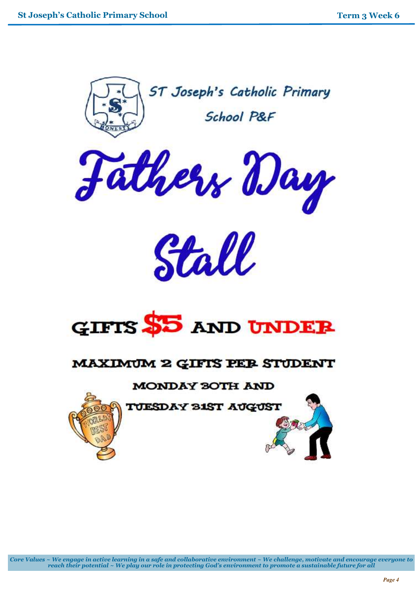



Stall



# MAXIMUM 2 GIFTS PER STUDENT

# MONDAY 30TH AND

TUESDAY 31ST AUGUST



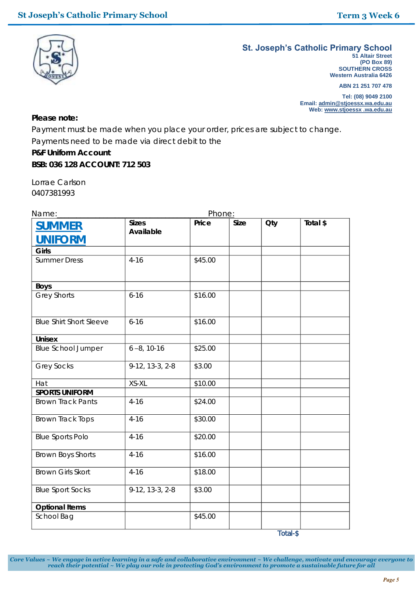

#### **St. Joseph's Catholic Primary School**

**51 Altair Street (PO Box 89) SOUTHERN CROSS Western Australia 6426**

**ABN 21 251 707 478**

**Tel: (08) 9049 2100 Email: admin@stjoessx.wa.edu.au Web: www.stjoessx .wa.edu.au**

**Please note:**

Payment must be made when you place your order, prices are subject to change. Payments need to be made via direct debit to the **P&F Uniform Account BSB: 036 128 ACCOUNT: 712 503**

Lorrae Carlson 0407381993

| Name:                           | Phone:                    |         |      |     |          |
|---------------------------------|---------------------------|---------|------|-----|----------|
| <u>SUMMER</u><br><b>UNIFORM</b> | <b>Sizes</b><br>Available | Price   | Size | Oty | Total \$ |
| Girls                           |                           |         |      |     |          |
| <b>Summer Dress</b>             | $4 - 16$                  | \$45.00 |      |     |          |
| Boys                            |                           |         |      |     |          |
| <b>Grey Shorts</b>              | $6 - 16$                  | \$16.00 |      |     |          |
| <b>Blue Shirt Short Sleeve</b>  | $6 - 16$                  | \$16.00 |      |     |          |
| Unisex                          |                           |         |      |     |          |
| <b>Blue School Jumper</b>       | $6 - 8, 10 - 16$          | \$25.00 |      |     |          |
| <b>Grey Socks</b>               | 9-12, 13-3, 2-8           | \$3.00  |      |     |          |
| Hat                             | XS-XL                     | \$10.00 |      |     |          |
| <b>SPORTS UNIFORM</b>           |                           |         |      |     |          |
| <b>Brown Track Pants</b>        | $4 - 16$                  | \$24.00 |      |     |          |
| <b>Brown Track Tops</b>         | $4 - 16$                  | \$30.00 |      |     |          |
| <b>Blue Sports Polo</b>         | $4 - 16$                  | \$20.00 |      |     |          |
| <b>Brown Boys Shorts</b>        | $4 - 16$                  | \$16.00 |      |     |          |
| <b>Brown Girls Skort</b>        | $4 - 16$                  | \$18.00 |      |     |          |
| <b>Blue Sport Socks</b>         | 9-12, 13-3, 2-8           | \$3.00  |      |     |          |
| Optional Items                  |                           |         |      |     |          |
| School Bag                      |                           | \$45.00 |      |     |          |

*Core Values ~ We engage in active learning in a safe and collaborative environment ~ We challenge, motivate and encourage everyone to reach their potential ~ We play our role in protecting God's environment to promote a sustainable future for all*